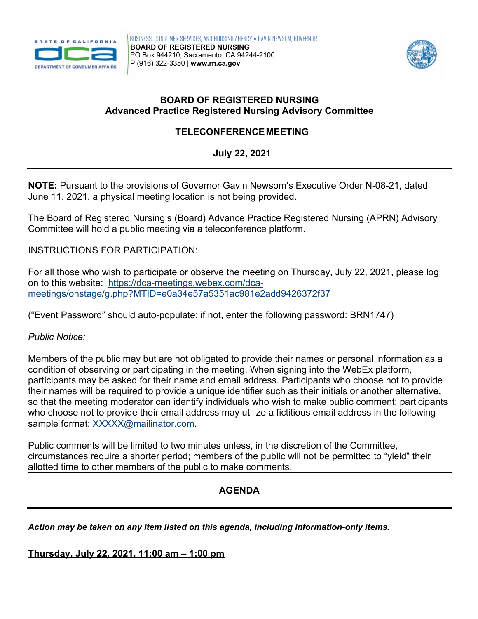



## **BOARD OF REGISTERED NURSING Advanced Practice Registered Nursing Advisory Committee**

# **TELECONFERENCEMEETING**

**July 22, 2021** 

 June 11, 2021, a physical meeting location is not being provided. **NOTE:** Pursuant to the provisions of Governor Gavin Newsom's Executive Order N-08-21, dated

The Board of Registered Nursing's (Board) Advance Practice Registered Nursing (APRN) Advisory Committee will hold a public meeting via a teleconference platform.

## INSTRUCTIONS FOR PARTICIPATION:

on to this website: <u>https://dca-meetings.webex.com/dca-</u> For all those who wish to participate or observe the meeting on Thursday, July 22, 2021, please log [meetings/onstage/g.php?MTID=e0a34e57a5351ac981e2add9426372f37](https://dca-meetings.webex.com/dca-meetings/onstage/g.php?MTID=e0a34e57a5351ac981e2add9426372f37) 

("Event Password" should auto-populate; if not, enter the following password: BRN1747)

## *Public Notice:*

 Members of the public may but are not obligated to provide their names or personal information as a condition of observing or participating in the meeting. When signing into the WebEx platform, participants may be asked for their name and email address. Participants who choose not to provide their names will be required to provide a unique identifier such as their initials or another alternative, so that the meeting moderator can identify individuals who wish to make public comment; participants who choose not to provide their email address may utilize a fictitious email address in the following sample format: [XXXXX@mailinator.com.](mailto:XXXXX@mailinator.com)

Public comments will be limited to two minutes unless, in the discretion of the Committee, circumstances require a shorter period; members of the public will not be permitted to "yield" their allotted time to other members of the public to make comments.

## **AGENDA**

*Action may be taken on any item listed on this agenda, including information-only items.* 

## **Thursday, July 22, 2021, 11:00 am – 1:00 pm**